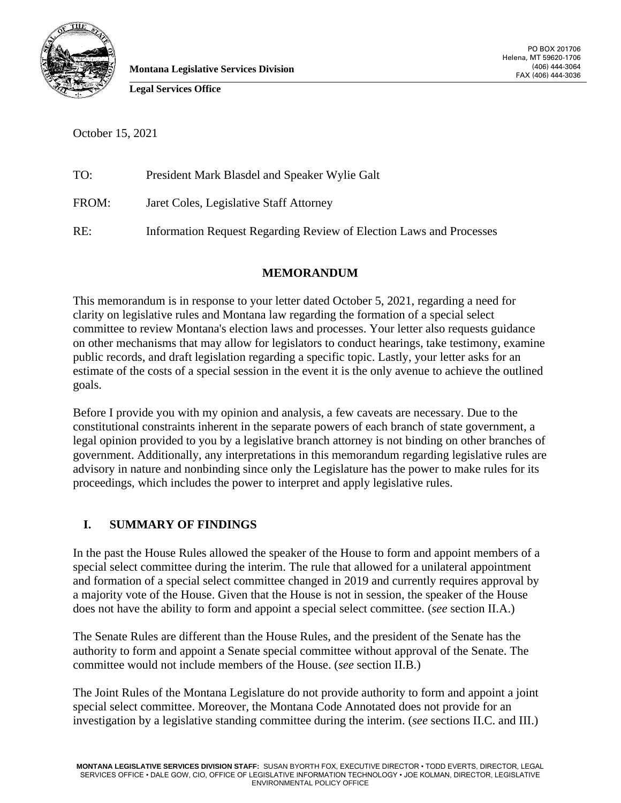

**Montana Legislative Services Division**

**Legal Services Office**

October 15, 2021

| TO:   | President Mark Blasdel and Speaker Wylie Galt                       |
|-------|---------------------------------------------------------------------|
| FROM: | Jaret Coles, Legislative Staff Attorney                             |
| RE:   | Information Request Regarding Review of Election Laws and Processes |

### **MEMORANDUM**

This memorandum is in response to your letter dated October 5, 2021, regarding a need for clarity on legislative rules and Montana law regarding the formation of a special select committee to review Montana's election laws and processes. Your letter also requests guidance on other mechanisms that may allow for legislators to conduct hearings, take testimony, examine public records, and draft legislation regarding a specific topic. Lastly, your letter asks for an estimate of the costs of a special session in the event it is the only avenue to achieve the outlined goals.

Before I provide you with my opinion and analysis, a few caveats are necessary. Due to the constitutional constraints inherent in the separate powers of each branch of state government, a legal opinion provided to you by a legislative branch attorney is not binding on other branches of government. Additionally, any interpretations in this memorandum regarding legislative rules are advisory in nature and nonbinding since only the Legislature has the power to make rules for its proceedings, which includes the power to interpret and apply legislative rules.

# **I. SUMMARY OF FINDINGS**

In the past the House Rules allowed the speaker of the House to form and appoint members of a special select committee during the interim. The rule that allowed for a unilateral appointment and formation of a special select committee changed in 2019 and currently requires approval by a majority vote of the House. Given that the House is not in session, the speaker of the House does not have the ability to form and appoint a special select committee. (*see* section II.A.)

The Senate Rules are different than the House Rules, and the president of the Senate has the authority to form and appoint a Senate special committee without approval of the Senate. The committee would not include members of the House. (*see* section II.B.)

The Joint Rules of the Montana Legislature do not provide authority to form and appoint a joint special select committee. Moreover, the Montana Code Annotated does not provide for an investigation by a legislative standing committee during the interim. (*see* sections II.C. and III.)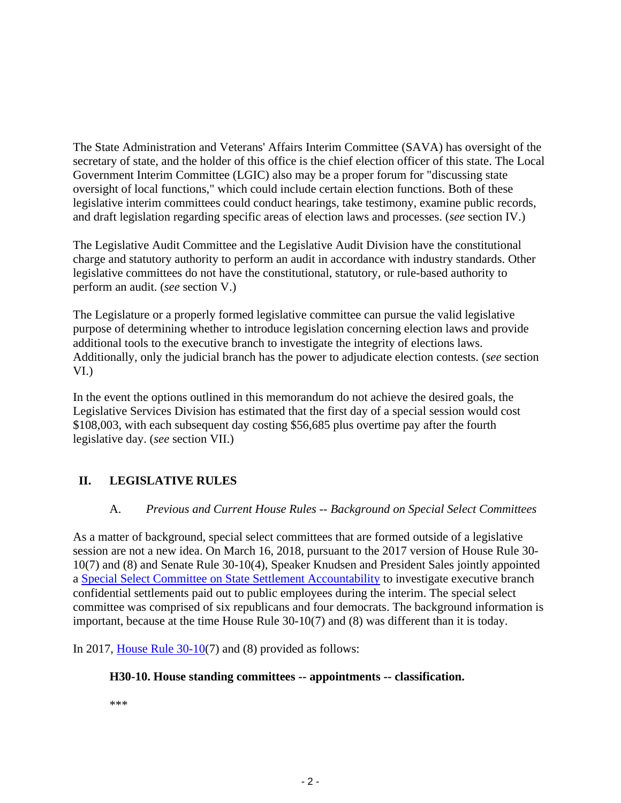The State Administration and Veterans' Affairs Interim Committee (SAVA) has oversight of the secretary of state, and the holder of this office is the chief election officer of this state. The Local Government Interim Committee (LGIC) also may be a proper forum for "discussing state oversight of local functions," which could include certain election functions. Both of these legislative interim committees could conduct hearings, take testimony, examine public records, and draft legislation regarding specific areas of election laws and processes. (*see* section IV.)

The Legislative Audit Committee and the Legislative Audit Division have the constitutional charge and statutory authority to perform an audit in accordance with industry standards. Other legislative committees do not have the constitutional, statutory, or rule-based authority to perform an audit. (*see* section V.)

The Legislature or a properly formed legislative committee can pursue the valid legislative purpose of determining whether to introduce legislation concerning election laws and provide additional tools to the executive branch to investigate the integrity of elections laws. Additionally, only the judicial branch has the power to adjudicate election contests. (*see* section VI.)

In the event the options outlined in this memorandum do not achieve the desired goals, the Legislative Services Division has estimated that the first day of a special session would cost \$108,003, with each subsequent day costing \$56,685 plus overtime pay after the fourth legislative day. (*see* section VII.)

# **II. LEGISLATIVE RULES**

# A. *Previous and Current House Rules -- Background on Special Select Committees*

As a matter of background, special select committees that are formed outside of a legislative session are not a new idea. On March 16, 2018, pursuant to the 2017 version of House Rule 30- 10(7) and (8) and Senate Rule 30-10(4), Speaker Knudsen and President Sales jointly appointed a [Special Select Committee on State Settlement Accountability](https://leg.mt.gov/the-interim/sscssa/2018/april-18.html) to investigate executive branch confidential settlements paid out to public employees during the interim. The special select committee was comprised of six republicans and four democrats. The background information is important, because at the time House Rule 30-10(7) and (8) was different than it is today.

In 2017, [House Rule 30-10\(](https://leg.mt.gov/bills/2017/billhtml/HR0001.htm)7) and (8) provided as follows:

### **H30-10. House standing committees -- appointments -- classification.**

\*\*\*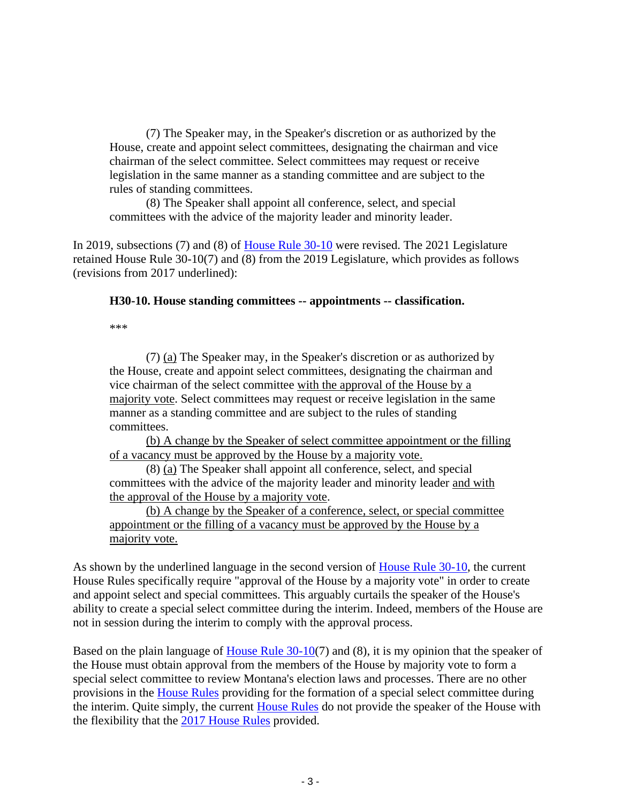(7) The Speaker may, in the Speaker's discretion or as authorized by the House, create and appoint select committees, designating the chairman and vice chairman of the select committee. Select committees may request or receive legislation in the same manner as a standing committee and are subject to the rules of standing committees.

 (8) The Speaker shall appoint all conference, select, and special committees with the advice of the majority leader and minority leader.

In 2019, subsections (7) and (8) of [House Rule 30-10](https://leg.mt.gov/bills/2019/billhtml/HR0001.htm) were revised. The 2021 Legislature retained House Rule 30-10(7) and (8) from the 2019 Legislature, which provides as follows (revisions from 2017 underlined):

#### **H30-10. House standing committees -- appointments -- classification.**

\*\*\*

(7) (a) The Speaker may, in the Speaker's discretion or as authorized by the House, create and appoint select committees, designating the chairman and vice chairman of the select committee with the approval of the House by a majority vote. Select committees may request or receive legislation in the same manner as a standing committee and are subject to the rules of standing committees.

(b) A change by the Speaker of select committee appointment or the filling of a vacancy must be approved by the House by a majority vote.

(8) (a) The Speaker shall appoint all conference, select, and special committees with the advice of the majority leader and minority leader and with the approval of the House by a majority vote.

(b) A change by the Speaker of a conference, select, or special committee appointment or the filling of a vacancy must be approved by the House by a majority vote.

As shown by the underlined language in the second version of [House Rule 30-10,](https://leg.mt.gov/bills/2021/billhtml/HR0002.htm) the current House Rules specifically require "approval of the House by a majority vote" in order to create and appoint select and special committees. This arguably curtails the speaker of the House's ability to create a special select committee during the interim. Indeed, members of the House are not in session during the interim to comply with the approval process.

Based on the plain language of <u>House Rule 30-10</u>(7) and (8), it is my opinion that the speaker of the House must obtain approval from the members of the House by majority vote to form a special select committee to review Montana's election laws and processes. There are no other provisions in the [House Rules](https://leg.mt.gov/bills/2021/billpdf/HR0002.pdf) providing for the formation of a special select committee during the interim. Quite simply, the current [House Rules](https://leg.mt.gov/bills/2021/billpdf/HR0002.pdf) do not provide the speaker of the House with the flexibility that the [2017 House Rules](https://leg.mt.gov/bills/2017/billhtml/HR0001.htm) provided.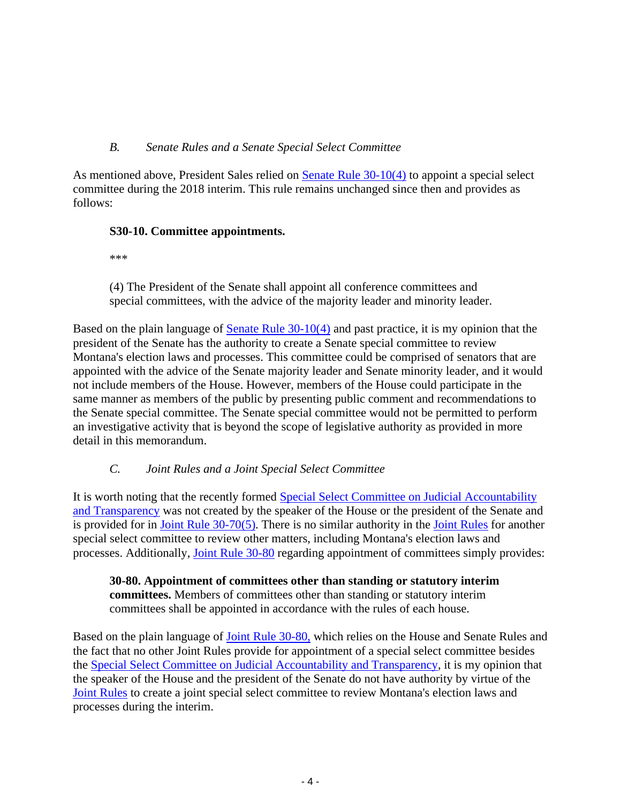# *B. Senate Rules and a Senate Special Select Committee*

As mentioned above, President Sales relied on [Senate Rule 30-10\(4\)](https://leg.mt.gov/bills/2021/billhtml/SR0001.htm) to appoint a special select committee during the 2018 interim. This rule remains unchanged since then and provides as follows:

### **S30-10. Committee appointments.**

\*\*\*

(4) The President of the Senate shall appoint all conference committees and special committees, with the advice of the majority leader and minority leader.

Based on the plain language of [Senate Rule 30-10\(4\)](https://leg.mt.gov/bills/2021/billhtml/SR0001.htm) and past practice, it is my opinion that the president of the Senate has the authority to create a Senate special committee to review Montana's election laws and processes. This committee could be comprised of senators that are appointed with the advice of the Senate majority leader and Senate minority leader, and it would not include members of the House. However, members of the House could participate in the same manner as members of the public by presenting public comment and recommendations to the Senate special committee. The Senate special committee would not be permitted to perform an investigative activity that is beyond the scope of legislative authority as provided in more detail in this memorandum.

# *C. Joint Rules and a Joint Special Select Committee*

It is worth noting that the recently formed [Special Select Committee on Judicial Accountability](https://leg.mt.gov/committees/other-groups/special-select-committee-jat/)  [and Transparency](https://leg.mt.gov/committees/other-groups/special-select-committee-jat/) was not created by the speaker of the House or the president of the Senate and is provided for in Joint Rule  $30-70(5)$ . There is no similar authority in the [Joint Rules](https://leg.mt.gov/bills/2021/billhtml/SJ0001.htm) for another special select committee to review other matters, including Montana's election laws and processes. Additionally, [Joint Rule 30-80](https://leg.mt.gov/bills/2021/billhtml/SJ0001.htm) regarding appointment of committees simply provides:

**30-80. Appointment of committees other than standing or statutory interim committees.** Members of committees other than standing or statutory interim committees shall be appointed in accordance with the rules of each house.

Based on the plain language of [Joint Rule 30-80,](https://leg.mt.gov/bills/2021/billhtml/SJ0001.htm) which relies on the House and Senate Rules and the fact that no other Joint Rules provide for appointment of a special select committee besides the [Special Select Committee on Judicial Accountability and Transparency,](https://leg.mt.gov/committees/other-groups/special-select-committee-jat/) it is my opinion that the speaker of the House and the president of the Senate do not have authority by virtue of the [Joint Rules](https://leg.mt.gov/bills/2021/billhtml/SJ0001.htm) to create a joint special select committee to review Montana's election laws and processes during the interim.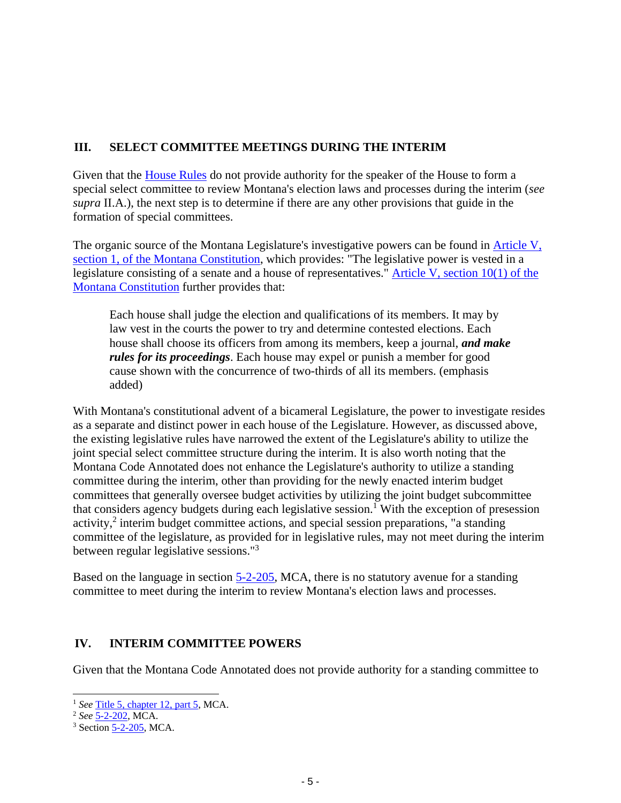# **III. SELECT COMMITTEE MEETINGS DURING THE INTERIM**

Given that the [House Rules](https://leg.mt.gov/bills/2021/billhtml/HR0002.htm) do not provide authority for the speaker of the House to form a special select committee to review Montana's election laws and processes during the interim (*see supra* II.A.), the next step is to determine if there are any other provisions that guide in the formation of special committees.

The organic source of the Montana Legislature's investigative powers can be found in [Article V,](https://leg.mt.gov/bills/mca/title_0000/article_0050/part_0010/section_0010/0000-0050-0010-0010.html)  [section 1, of the Montana Constitution,](https://leg.mt.gov/bills/mca/title_0000/article_0050/part_0010/section_0010/0000-0050-0010-0010.html) which provides: "The legislative power is vested in a legislature consisting of a senate and a house of representatives." [Article V, section 10\(1\) of the](https://leg.mt.gov/bills/mca/title_0000/article_0050/part_0010/section_0100/0000-0050-0010-0100.html)  [Montana Constitution](https://leg.mt.gov/bills/mca/title_0000/article_0050/part_0010/section_0100/0000-0050-0010-0100.html) further provides that:

Each house shall judge the election and qualifications of its members. It may by law vest in the courts the power to try and determine contested elections. Each house shall choose its officers from among its members, keep a journal, *and make rules for its proceedings*. Each house may expel or punish a member for good cause shown with the concurrence of two-thirds of all its members. (emphasis added)

With Montana's constitutional advent of a bicameral Legislature, the power to investigate resides as a separate and distinct power in each house of the Legislature. However, as discussed above, the existing legislative rules have narrowed the extent of the Legislature's ability to utilize the joint special select committee structure during the interim. It is also worth noting that the Montana Code Annotated does not enhance the Legislature's authority to utilize a standing committee during the interim, other than providing for the newly enacted interim budget committees that generally oversee budget activities by utilizing the joint budget subcommittee that considers agency budgets during each legislative session.<sup>1</sup> With the exception of presession activity,<sup>2</sup> interim budget committee actions, and special session preparations, "a standing committee of the legislature, as provided for in legislative rules, may not meet during the interim between regular legislative sessions."<sup>3</sup>

Based on the language in section [5-2-205,](https://leg.mt.gov/bills/mca/title_0050/chapter_0020/part_0020/section_0050/0050-0020-0020-0050.html) MCA, there is no statutory avenue for a standing committee to meet during the interim to review Montana's election laws and processes.

# **IV. INTERIM COMMITTEE POWERS**

Given that the Montana Code Annotated does not provide authority for a standing committee to

<sup>1</sup> *See* [Title 5, chapter 12, part 5,](https://leg.mt.gov/bills/mca/title_0050/chapter_0120/part_0050/sections_index.html) MCA.

<sup>2</sup> *See* [5-2-202,](https://leg.mt.gov/bills/mca/title_0050/chapter_0020/part_0020/section_0020/0050-0020-0020-0020.html) MCA.

 $3$  Section  $5-2-205$ , MCA.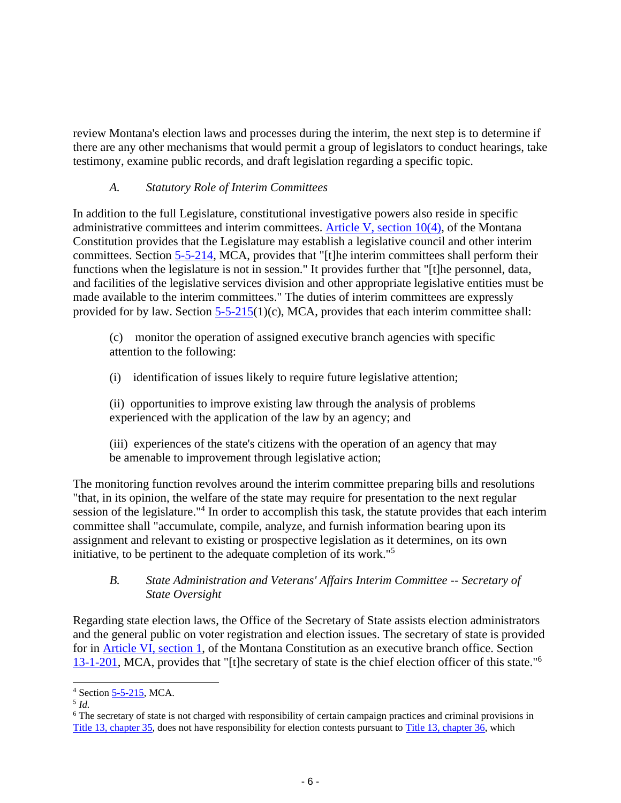review Montana's election laws and processes during the interim, the next step is to determine if there are any other mechanisms that would permit a group of legislators to conduct hearings, take testimony, examine public records, and draft legislation regarding a specific topic.

# *A. Statutory Role of Interim Committees*

In addition to the full Legislature, constitutional investigative powers also reside in specific administrative committees and interim committees. [Article V, section 10\(4\),](https://leg.mt.gov/bills/mca/title_0000/article_0050/part_0010/section_0100/0000-0050-0010-0100.html) of the Montana Constitution provides that the Legislature may establish a legislative council and other interim committees. Section [5-5-214,](https://leg.mt.gov/bills/mca/title_0050/chapter_0050/part_0020/section_0140/0050-0050-0020-0140.html) MCA, provides that "[t]he interim committees shall perform their functions when the legislature is not in session." It provides further that "[t]he personnel, data, and facilities of the legislative services division and other appropriate legislative entities must be made available to the interim committees." The duties of interim committees are expressly provided for by law. Section  $5-5-215(1)(c)$ , MCA, provides that each interim committee shall:

(c) monitor the operation of assigned executive branch agencies with specific attention to the following:

(i) identification of issues likely to require future legislative attention;

(ii) opportunities to improve existing law through the analysis of problems experienced with the application of the law by an agency; and

(iii) experiences of the state's citizens with the operation of an agency that may be amenable to improvement through legislative action;

The monitoring function revolves around the interim committee preparing bills and resolutions "that, in its opinion, the welfare of the state may require for presentation to the next regular session of the legislature."<sup>4</sup> In order to accomplish this task, the statute provides that each interim committee shall "accumulate, compile, analyze, and furnish information bearing upon its assignment and relevant to existing or prospective legislation as it determines, on its own initiative, to be pertinent to the adequate completion of its work."<sup>5</sup>

# *B. State Administration and Veterans' Affairs Interim Committee -- Secretary of State Oversight*

Regarding state election laws, the Office of the Secretary of State assists election administrators and the general public on voter registration and election issues. The secretary of state is provided for in [Article VI, section 1,](https://leg.mt.gov/bills/mca/title_0000/article_0060/part_0010/section_0010/0000-0060-0010-0010.html) of the Montana Constitution as an executive branch office. Section [13-1-201,](https://leg.mt.gov/bills/mca/title_0130/chapter_0010/part_0020/section_0010/0130-0010-0020-0010.html) MCA, provides that "[t]he secretary of state is the chief election officer of this state."<sup>6</sup>

<sup>4</sup> Section [5-5-215,](https://leg.mt.gov/bills/mca/title_0050/chapter_0050/part_0020/section_0150/0050-0050-0020-0150.html) MCA.

<sup>5</sup> *Id.*

<sup>6</sup> The secretary of state is not charged with responsibility of certain campaign practices and criminal provisions in [Title 13, chapter](https://leg.mt.gov/bills/mca/title_0130/chapter_0350/parts_index.html) 35, does not have responsibility for election contests pursuant to [Title 13, chapter 36,](https://leg.mt.gov/bills/mca/title_0130/chapter_0360/parts_index.html) which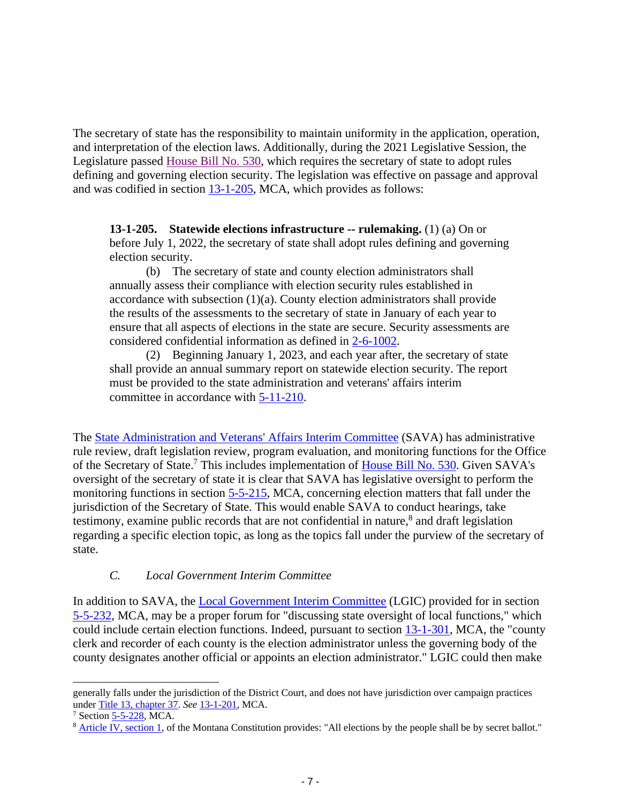The secretary of state has the responsibility to maintain uniformity in the application, operation, and interpretation of the election laws. Additionally, during the 2021 Legislative Session, the Legislature passed [House Bill No. 530,](https://leg.mt.gov/bills/2021/billhtml/HB0530.htm) which requires the secretary of state to adopt rules defining and governing election security. The legislation was effective on passage and approval and was codified in section  $13$ -1-205, MCA, which provides as follows:

**13-1-205. Statewide elections infrastructure -- rulemaking.** (1) (a) On or before July 1, 2022, the secretary of state shall adopt rules defining and governing election security.

(b) The secretary of state and county election administrators shall annually assess their compliance with election security rules established in accordance with subsection (1)(a). County election administrators shall provide the results of the assessments to the secretary of state in January of each year to ensure that all aspects of elections in the state are secure. Security assessments are considered confidential information as defined in [2-6-1002.](https://leg.mt.gov/bills/mca/title_0020/chapter_0060/part_0100/section_0020/0020-0060-0100-0020.html)

(2) Beginning January 1, 2023, and each year after, the secretary of state shall provide an annual summary report on statewide election security. The report must be provided to the state administration and veterans' affairs interim committee in accordance with [5-11-210.](https://leg.mt.gov/bills/mca/title_0050/chapter_0110/part_0020/section_0100/0050-0110-0020-0100.html)

The [State Administration and Veterans' Affairs Interim Committee](https://leg.mt.gov/committees/interim/sava/) (SAVA) has administrative rule review, draft legislation review, program evaluation, and monitoring functions for the Office of the Secretary of State.<sup>7</sup> This includes implementation of [House Bill No. 530.](https://leg.mt.gov/bills/2021/billhtml/HB0530.htm) Given SAVA's oversight of the secretary of state it is clear that SAVA has legislative oversight to perform the monitoring functions in section [5-5-215,](https://leg.mt.gov/bills/mca/title_0050/chapter_0050/part_0020/section_0150/0050-0050-0020-0150.html) MCA, concerning election matters that fall under the jurisdiction of the Secretary of State. This would enable SAVA to conduct hearings, take testimony, examine public records that are not confidential in nature,<sup>8</sup> and draft legislation regarding a specific election topic, as long as the topics fall under the purview of the secretary of state.

#### *C. Local Government Interim Committee*

In addition to SAVA, the [Local Government Interim Committee](https://leg.mt.gov/committees/interim/lgic/) (LGIC) provided for in section [5-5-232,](https://leg.mt.gov/bills/mca/title_0050/chapter_0050/part_0020/section_0320/0050-0050-0020-0320.html) MCA, may be a proper forum for "discussing state oversight of local functions," which could include certain election functions. Indeed, pursuant to section [13-1-301,](https://leg.mt.gov/bills/mca/title_0130/chapter_0010/part_0030/section_0010/0130-0010-0030-0010.html) MCA, the "county clerk and recorder of each county is the election administrator unless the governing body of the county designates another official or appoints an election administrator." LGIC could then make

generally falls under the jurisdiction of the District Court, and does not have jurisdiction over campaign practices under [Title 13, chapter 37.](https://leg.mt.gov/bills/mca/title_0130/chapter_0370/parts_index.html) *See* [13-1-201,](https://leg.mt.gov/bills/mca/title_0130/chapter_0010/part_0020/section_0010/0130-0010-0020-0010.html) MCA.

<sup>7</sup> Section [5-5-228,](https://leg.mt.gov/bills/mca/title_0050/chapter_0050/part_0020/section_0280/0050-0050-0020-0280.html) MCA.

<sup>&</sup>lt;sup>8</sup> [Article IV, section 1,](https://leg.mt.gov/bills/mca/title_0000/article_0040/part_0010/section_0010/0000-0040-0010-0010.html) of the Montana Constitution provides: "All elections by the people shall be by secret ballot."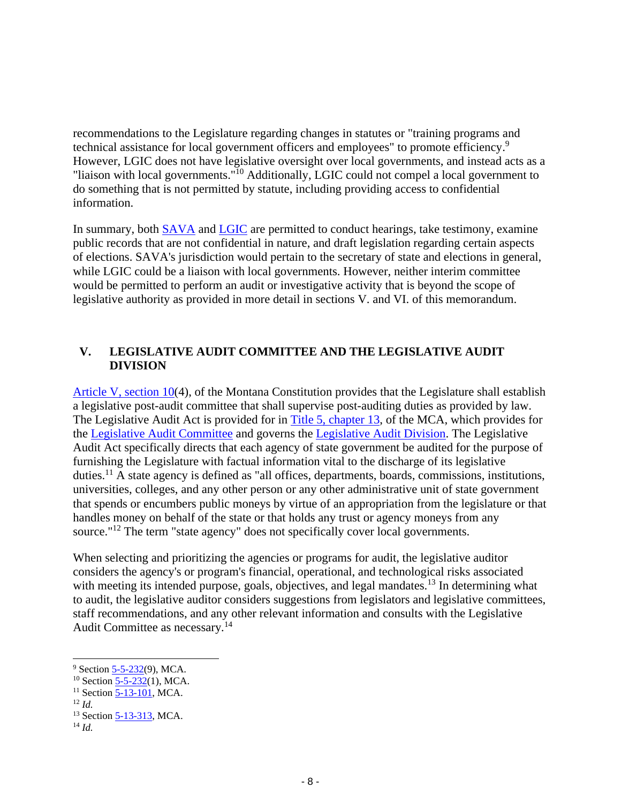recommendations to the Legislature regarding changes in statutes or "training programs and technical assistance for local government officers and employees" to promote efficiency.<sup>9</sup> However, LGIC does not have legislative oversight over local governments, and instead acts as a "liaison with local governments."<sup>10</sup> Additionally, LGIC could not compel a local government to do something that is not permitted by statute, including providing access to confidential information.

In summary, both [SAVA](https://leg.mt.gov/committees/interim/sava/) and [LGIC](https://leg.mt.gov/committees/interim/lgic/) are permitted to conduct hearings, take testimony, examine public records that are not confidential in nature, and draft legislation regarding certain aspects of elections. SAVA's jurisdiction would pertain to the secretary of state and elections in general, while LGIC could be a liaison with local governments. However, neither interim committee would be permitted to perform an audit or investigative activity that is beyond the scope of legislative authority as provided in more detail in sections V. and VI. of this memorandum.

# **V. LEGISLATIVE AUDIT COMMITTEE AND THE LEGISLATIVE AUDIT DIVISION**

[Article V, section 10\(](https://leg.mt.gov/bills/mca/title_0000/article_0050/part_0010/section_0100/0000-0050-0010-0100.html)4), of the Montana Constitution provides that the Legislature shall establish a legislative post-audit committee that shall supervise post-auditing duties as provided by law. The Legislative Audit Act is provided for in [Title 5, chapter 13,](https://leg.mt.gov/bills/mca/title_0050/chapter_0130/parts_index.html) of the MCA, which provides for the [Legislative Audit Committee](https://leg.mt.gov/bills/mca/title_0050/chapter_0130/part_0020/sections_index.html) and governs the [Legislative Audit Division.](https://leg.mt.gov/bills/mca/title_0050/chapter_0130/part_0030/section_0010/0050-0130-0030-0010.html) The Legislative Audit Act specifically directs that each agency of state government be audited for the purpose of furnishing the Legislature with factual information vital to the discharge of its legislative duties.<sup>11</sup> A state agency is defined as "all offices, departments, boards, commissions, institutions, universities, colleges, and any other person or any other administrative unit of state government that spends or encumbers public moneys by virtue of an appropriation from the legislature or that handles money on behalf of the state or that holds any trust or agency moneys from any source."<sup>12</sup> The term "state agency" does not specifically cover local governments.

When selecting and prioritizing the agencies or programs for audit, the legislative auditor considers the agency's or program's financial, operational, and technological risks associated with meeting its intended purpose, goals, objectives, and legal mandates.<sup>13</sup> In determining what to audit, the legislative auditor considers suggestions from legislators and legislative committees, staff recommendations, and any other relevant information and consults with the Legislative Audit Committee as necessary*.* 14

<sup>&</sup>lt;sup>9</sup> Section [5-5-232\(](https://leg.mt.gov/bills/mca/title_0050/chapter_0050/part_0020/section_0320/0050-0050-0020-0320.html)9), MCA.

<sup>&</sup>lt;sup>10</sup> Section  $\frac{5 - 5 - 232}{(1)}$ , MCA.

<sup>&</sup>lt;sup>11</sup> Section  $\overline{5-13-101}$ , MCA.

<sup>12</sup> *Id.*

<sup>13</sup> Sectio[n 5-13-313,](https://leg.mt.gov/bills/mca/title_0050/chapter_0130/part_0030/section_0130/0050-0130-0030-0130.html) MCA.

<sup>14</sup> *Id.*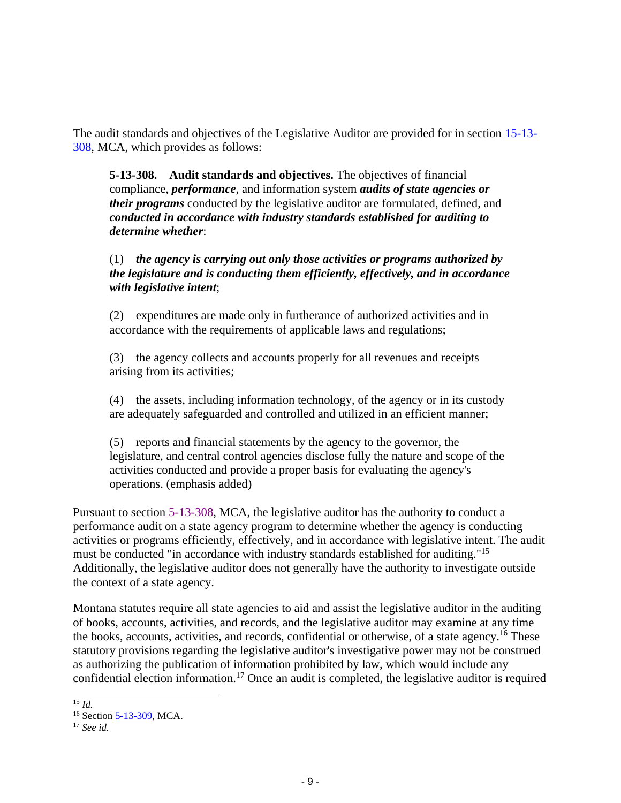The audit standards and objectives of the Legislative Auditor are provided for in section [15-13-](https://leg.mt.gov/bills/mca/title_0050/chapter_0130/part_0030/section_0080/0050-0130-0030-0080.html) [308,](https://leg.mt.gov/bills/mca/title_0050/chapter_0130/part_0030/section_0080/0050-0130-0030-0080.html) MCA, which provides as follows:

**5-13-308. Audit standards and objectives.** The objectives of financial compliance, *performance*, and information system *audits of state agencies or their programs* conducted by the legislative auditor are formulated, defined, and *conducted in accordance with industry standards established for auditing to determine whether*:

# (1) *the agency is carrying out only those activities or programs authorized by the legislature and is conducting them efficiently, effectively, and in accordance with legislative intent*;

(2) expenditures are made only in furtherance of authorized activities and in accordance with the requirements of applicable laws and regulations;

(3) the agency collects and accounts properly for all revenues and receipts arising from its activities;

(4) the assets, including information technology, of the agency or in its custody are adequately safeguarded and controlled and utilized in an efficient manner;

(5) reports and financial statements by the agency to the governor, the legislature, and central control agencies disclose fully the nature and scope of the activities conducted and provide a proper basis for evaluating the agency's operations. (emphasis added)

Pursuant to section [5-13-308,](https://leg.mt.gov/bills/mca/title_0050/chapter_0130/part_0030/section_0080/0050-0130-0030-0080.html) MCA, the legislative auditor has the authority to conduct a performance audit on a state agency program to determine whether the agency is conducting activities or programs efficiently, effectively, and in accordance with legislative intent. The audit must be conducted "in accordance with industry standards established for auditing." 15 Additionally, the legislative auditor does not generally have the authority to investigate outside the context of a state agency.

Montana statutes require all state agencies to aid and assist the legislative auditor in the auditing of books, accounts, activities, and records, and the legislative auditor may examine at any time the books, accounts, activities, and records, confidential or otherwise, of a state agency.<sup>16</sup> These statutory provisions regarding the legislative auditor's investigative power may not be construed as authorizing the publication of information prohibited by law, which would include any confidential election information.<sup>17</sup> Once an audit is completed, the legislative auditor is required

<sup>15</sup> *Id.*

<sup>&</sup>lt;sup>16</sup> Sectio[n 5-13-309,](https://leg.mt.gov/bills/mca/title_0050/chapter_0130/part_0030/section_0090/0050-0130-0030-0090.html) MCA.

<sup>17</sup> *See id.*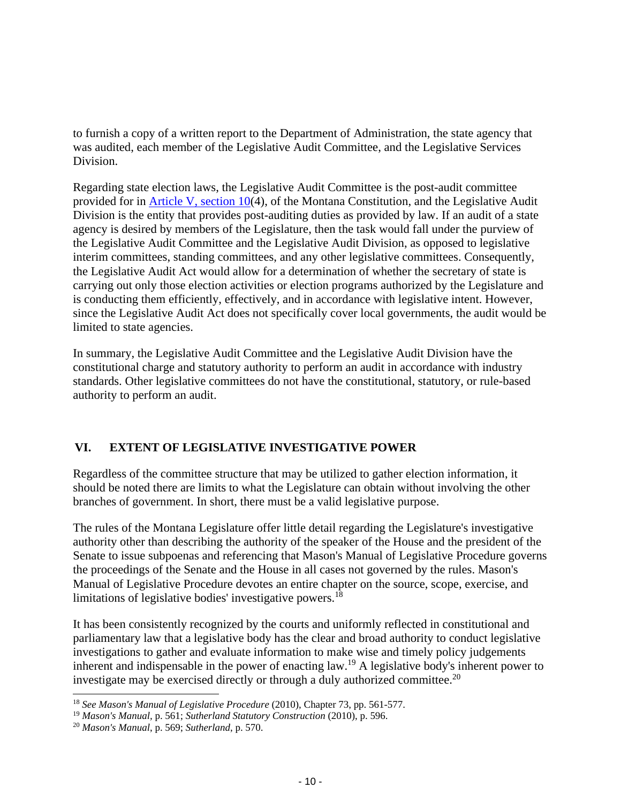to furnish a copy of a written report to the Department of Administration, the state agency that was audited, each member of the Legislative Audit Committee, and the Legislative Services Division.

Regarding state election laws, the Legislative Audit Committee is the post-audit committee provided for in [Article V, section 10\(](https://leg.mt.gov/bills/mca/title_0000/article_0050/part_0010/section_0100/0000-0050-0010-0100.html)4), of the Montana Constitution, and the Legislative Audit Division is the entity that provides post-auditing duties as provided by law. If an audit of a state agency is desired by members of the Legislature, then the task would fall under the purview of the Legislative Audit Committee and the Legislative Audit Division, as opposed to legislative interim committees, standing committees, and any other legislative committees. Consequently, the Legislative Audit Act would allow for a determination of whether the secretary of state is carrying out only those election activities or election programs authorized by the Legislature and is conducting them efficiently, effectively, and in accordance with legislative intent. However, since the Legislative Audit Act does not specifically cover local governments, the audit would be limited to state agencies.

In summary, the Legislative Audit Committee and the Legislative Audit Division have the constitutional charge and statutory authority to perform an audit in accordance with industry standards. Other legislative committees do not have the constitutional, statutory, or rule-based authority to perform an audit.

# **VI. EXTENT OF LEGISLATIVE INVESTIGATIVE POWER**

Regardless of the committee structure that may be utilized to gather election information, it should be noted there are limits to what the Legislature can obtain without involving the other branches of government. In short, there must be a valid legislative purpose.

The rules of the Montana Legislature offer little detail regarding the Legislature's investigative authority other than describing the authority of the speaker of the House and the president of the Senate to issue subpoenas and referencing that Mason's Manual of Legislative Procedure governs the proceedings of the Senate and the House in all cases not governed by the rules. Mason's Manual of Legislative Procedure devotes an entire chapter on the source, scope, exercise, and limitations of legislative bodies' investigative powers.<sup>18</sup>

It has been consistently recognized by the courts and uniformly reflected in constitutional and parliamentary law that a legislative body has the clear and broad authority to conduct legislative investigations to gather and evaluate information to make wise and timely policy judgements inherent and indispensable in the power of enacting law.<sup>19</sup> A legislative body's inherent power to investigate may be exercised directly or through a duly authorized committee.<sup>20</sup>

<sup>18</sup> *See Mason's Manual of Legislative Procedure* (2010), Chapter 73, pp. 561-577.

<sup>19</sup> *Mason's Manual,* p. 561; *Sutherland Statutory Construction* (2010), p. 596.

<sup>20</sup> *Mason's Manual*, p. 569; *Sutherland*, p. 570.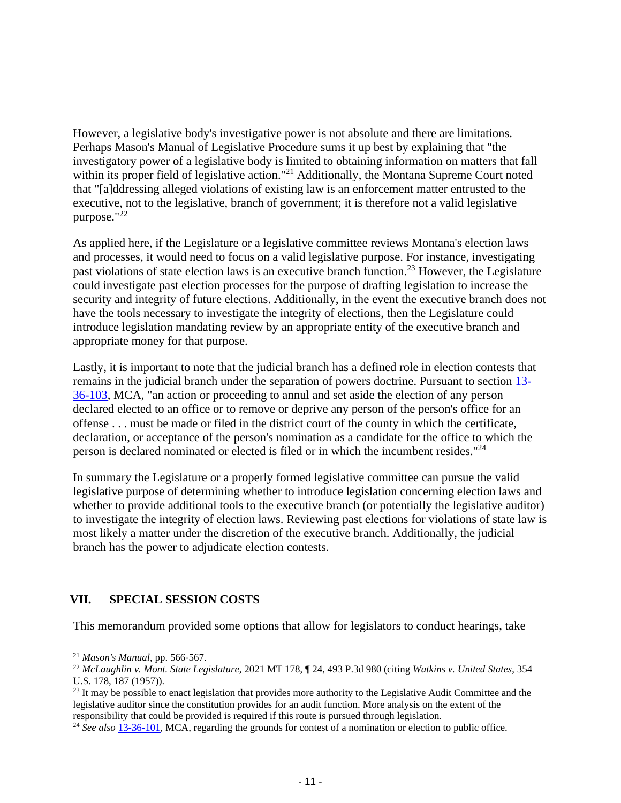However, a legislative body's investigative power is not absolute and there are limitations. Perhaps Mason's Manual of Legislative Procedure sums it up best by explaining that "the investigatory power of a legislative body is limited to obtaining information on matters that fall within its proper field of legislative action."<sup>21</sup> Additionally, the Montana Supreme Court noted that "[a]ddressing alleged violations of existing law is an enforcement matter entrusted to the executive, not to the legislative, branch of government; it is therefore not a valid legislative purpose."<sup>22</sup>

As applied here, if the Legislature or a legislative committee reviews Montana's election laws and processes, it would need to focus on a valid legislative purpose. For instance, investigating past violations of state election laws is an executive branch function.<sup>23</sup> However, the Legislature could investigate past election processes for the purpose of drafting legislation to increase the security and integrity of future elections. Additionally, in the event the executive branch does not have the tools necessary to investigate the integrity of elections, then the Legislature could introduce legislation mandating review by an appropriate entity of the executive branch and appropriate money for that purpose.

Lastly, it is important to note that the judicial branch has a defined role in election contests that remains in the judicial branch under the separation of powers doctrine. Pursuant to section [13-](https://leg.mt.gov/bills/mca/title_0130/chapter_0360/part_0010/section_0030/0130-0360-0010-0030.html) [36-103,](https://leg.mt.gov/bills/mca/title_0130/chapter_0360/part_0010/section_0030/0130-0360-0010-0030.html) MCA, "an action or proceeding to annul and set aside the election of any person declared elected to an office or to remove or deprive any person of the person's office for an offense . . . must be made or filed in the district court of the county in which the certificate, declaration, or acceptance of the person's nomination as a candidate for the office to which the person is declared nominated or elected is filed or in which the incumbent resides." 24

In summary the Legislature or a properly formed legislative committee can pursue the valid legislative purpose of determining whether to introduce legislation concerning election laws and whether to provide additional tools to the executive branch (or potentially the legislative auditor) to investigate the integrity of election laws. Reviewing past elections for violations of state law is most likely a matter under the discretion of the executive branch. Additionally, the judicial branch has the power to adjudicate election contests.

# **VII. SPECIAL SESSION COSTS**

This memorandum provided some options that allow for legislators to conduct hearings, take

<sup>21</sup> *Mason's Manual*, pp. 566-567.

<sup>22</sup> *McLaughlin v. Mont. State Legislature*, 2021 MT 178, ¶ 24, 493 P.3d 980 (citing *Watkins v. United States*, 354 U.S. 178, 187 (1957)).

 $^{23}$  It may be possible to enact legislation that provides more authority to the Legislative Audit Committee and the legislative auditor since the constitution provides for an audit function. More analysis on the extent of the responsibility that could be provided is required if this route is pursued through legislation.

<sup>24</sup> *See also* [13-36-101,](https://leg.mt.gov/bills/mca/title_0130/chapter_0360/part_0010/section_0010/0130-0360-0010-0010.html) MCA, regarding the grounds for contest of a nomination or election to public office.